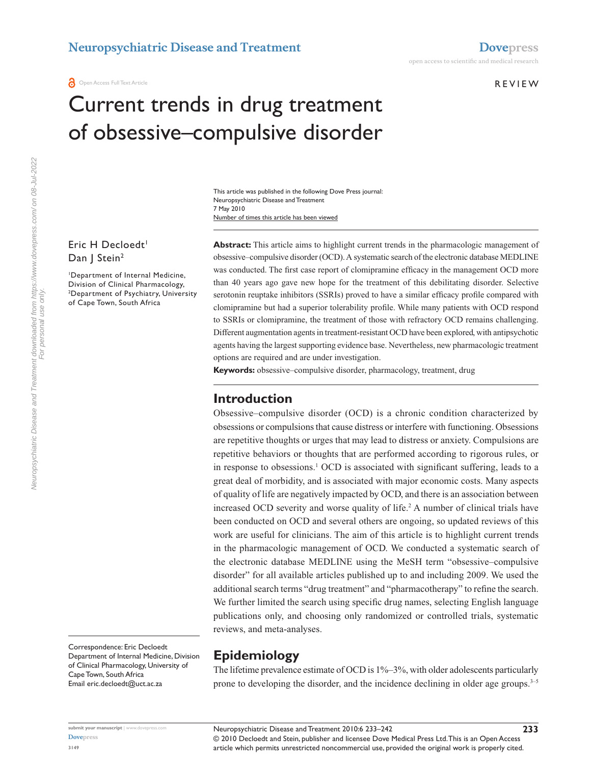**a** Open Access Full Text Article

#### **REVIEW**

# Current trends in drug treatment of obsessive–compulsive disorder

Number of times this article has been viewed This article was published in the following Dove Press journal: Neuropsychiatric Disease and Treatment 7 May 2010

#### Eric H Decloedt<sup>1</sup> Dan | Stein<sup>2</sup>

1 Department of Internal Medicine, Division of Clinical Pharmacology, 2 Department of Psychiatry, University of Cape Town, South Africa

**Abstract:** This article aims to highlight current trends in the pharmacologic management of obsessive–compulsive disorder (OCD). A systematic search of the electronic database MEDLINE was conducted. The first case report of clomipramine efficacy in the management OCD more than 40 years ago gave new hope for the treatment of this debilitating disorder. Selective serotonin reuptake inhibitors (SSRIs) proved to have a similar efficacy profile compared with clomipramine but had a superior tolerability profile. While many patients with OCD respond to SSRIs or clomipramine, the treatment of those with refractory OCD remains challenging. Different augmentation agents in treatment-resistant OCD have been explored, with antipsychotic agents having the largest supporting evidence base. Nevertheless, new pharmacologic treatment options are required and are under investigation.

**Keywords:** obsessive–compulsive disorder, pharmacology, treatment, drug

#### **Introduction**

Obsessive–compulsive disorder (OCD) is a chronic condition characterized by obsessions or compulsions that cause distress or interfere with functioning. Obsessions are repetitive thoughts or urges that may lead to distress or anxiety. Compulsions are repetitive behaviors or thoughts that are performed according to rigorous rules, or in response to obsessions.<sup>1</sup> OCD is associated with significant suffering, leads to a great deal of morbidity, and is associated with major economic costs. Many aspects of quality of life are negatively impacted by OCD, and there is an association between increased OCD severity and worse quality of life.2 A number of clinical trials have been conducted on OCD and several others are ongoing, so updated reviews of this work are useful for clinicians. The aim of this article is to highlight current trends in the pharmacologic management of OCD. We conducted a systematic search of the electronic database MEDLINE using the MeSH term "obsessive–compulsive disorder" for all available articles published up to and including 2009. We used the additional search terms "drug treatment" and "pharmacotherapy" to refine the search. We further limited the search using specific drug names, selecting English language publications only, and choosing only randomized or controlled trials, systematic reviews, and meta-analyses.

Correspondence: Eric Decloedt Department of Internal Medicine, Division of Clinical Pharmacology, University of Cape Town, South Africa Email eric.decloedt@uct.ac.za

### **Epidemiology**

The lifetime prevalence estimate of OCD is  $1\% - 3\%$ , with older adolescents particularly prone to developing the disorder, and the incidence declining in older age groups.<sup>3-5</sup>

**[Dovepress](www.dovepress.com) 3149**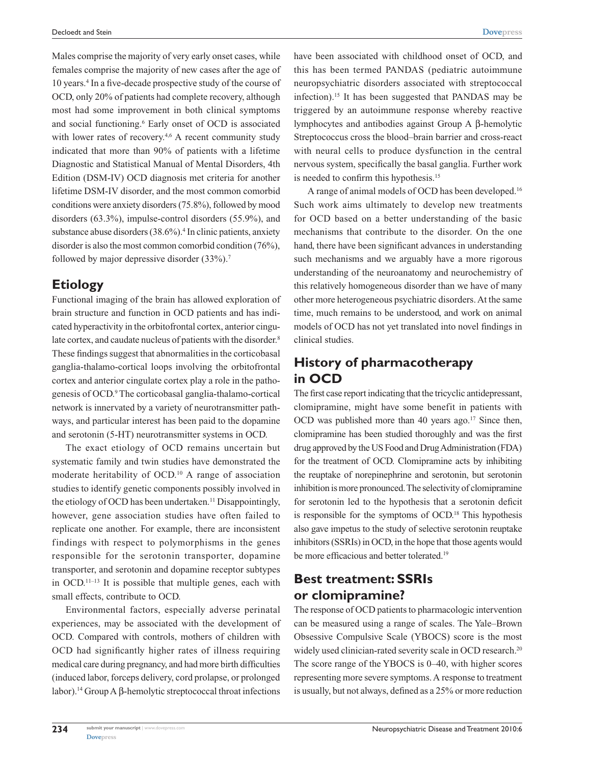Males comprise the majority of very early onset cases, while females comprise the majority of new cases after the age of 10 years.4 In a five-decade prospective study of the course of OCD, only 20% of patients had complete recovery, although most had some improvement in both clinical symptoms and social functioning.<sup>6</sup> Early onset of OCD is associated with lower rates of recovery.<sup>4,6</sup> A recent community study indicated that more than 90% of patients with a lifetime Diagnostic and Statistical Manual of Mental Disorders, 4th Edition (DSM-IV) OCD diagnosis met criteria for another lifetime DSM-IV disorder, and the most common comorbid conditions were anxiety disorders (75.8%), followed by mood disorders (63.3%), impulse-control disorders (55.9%), and substance abuse disorders (38.6%).<sup>4</sup> In clinic patients, anxiety disorder is also the most common comorbid condition (76%), followed by major depressive disorder (33%).<sup>7</sup>

#### **Etiology**

Functional imaging of the brain has allowed exploration of brain structure and function in OCD patients and has indicated hyperactivity in the orbitofrontal cortex, anterior cingulate cortex, and caudate nucleus of patients with the disorder.<sup>8</sup> These findings suggest that abnormalities in the corticobasal ganglia-thalamo-cortical loops involving the orbitofrontal cortex and anterior cingulate cortex play a role in the pathogenesis of OCD.9 The corticobasal ganglia-thalamo-cortical network is innervated by a variety of neurotransmitter pathways, and particular interest has been paid to the dopamine and serotonin (5-HT) neurotransmitter systems in OCD.

The exact etiology of OCD remains uncertain but systematic family and twin studies have demonstrated the moderate heritability of OCD.10 A range of association studies to identify genetic components possibly involved in the etiology of OCD has been undertaken.<sup>11</sup> Disappointingly, however, gene association studies have often failed to replicate one another. For example, there are inconsistent findings with respect to polymorphisms in the genes responsible for the serotonin transporter, dopamine transporter, and serotonin and dopamine receptor subtypes in OCD.<sup>11–13</sup> It is possible that multiple genes, each with small effects, contribute to OCD.

Environmental factors, especially adverse perinatal experiences, may be associated with the development of OCD. Compared with controls, mothers of children with OCD had significantly higher rates of illness requiring medical care during pregnancy, and had more birth difficulties (induced labor, forceps delivery, cord prolapse, or prolonged labor).14 Group A β-hemolytic streptococcal throat infections

have been associated with childhood onset of OCD, and this has been termed PANDAS (pediatric autoimmune neuropsychiatric disorders associated with streptococcal infection).15 It has been suggested that PANDAS may be triggered by an autoimmune response whereby reactive lymphocytes and antibodies against Group A β-hemolytic Streptococcus cross the blood–brain barrier and cross-react with neural cells to produce dysfunction in the central nervous system, specifically the basal ganglia. Further work is needed to confirm this hypothesis.15

A range of animal models of OCD has been developed.16 Such work aims ultimately to develop new treatments for OCD based on a better understanding of the basic mechanisms that contribute to the disorder. On the one hand, there have been significant advances in understanding such mechanisms and we arguably have a more rigorous understanding of the neuroanatomy and neurochemistry of this relatively homogeneous disorder than we have of many other more heterogeneous psychiatric disorders. At the same time, much remains to be understood, and work on animal models of OCD has not yet translated into novel findings in clinical studies.

# **History of pharmacotherapy in OCD**

The first case report indicating that the tricyclic antidepressant, clomipramine, might have some benefit in patients with OCD was published more than 40 years ago.<sup>17</sup> Since then, clomipramine has been studied thoroughly and was the first drug approved by the US Food and Drug Administration (FDA) for the treatment of OCD. Clomipramine acts by inhibiting the reuptake of norepinephrine and serotonin, but serotonin inhibition is more pronounced. The selectivity of clomipramine for serotonin led to the hypothesis that a serotonin deficit is responsible for the symptoms of OCD.18 This hypothesis also gave impetus to the study of selective serotonin reuptake inhibitors (SSRIs) in OCD, in the hope that those agents would be more efficacious and better tolerated.<sup>19</sup>

### **Best treatment: SSRIs or clomipramine?**

The response of OCD patients to pharmacologic intervention can be measured using a range of scales. The Yale–Brown Obsessive Compulsive Scale (YBOCS) score is the most widely used clinician-rated severity scale in OCD research.<sup>20</sup> The score range of the YBOCS is 0–40, with higher scores representing more severe symptoms. A response to treatment is usually, but not always, defined as a 25% or more reduction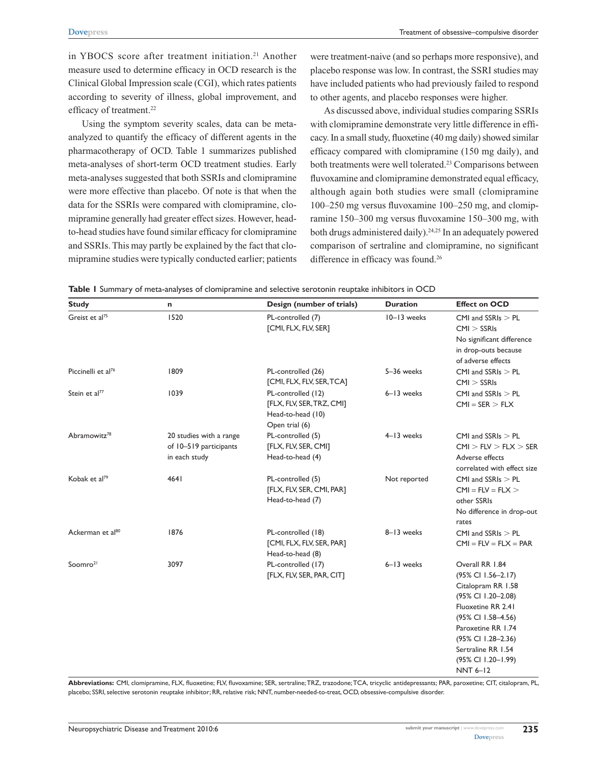in YBOCS score after treatment initiation.<sup>21</sup> Another measure used to determine efficacy in OCD research is the Clinical Global Impression scale (CGI), which rates patients according to severity of illness, global improvement, and efficacy of treatment.<sup>22</sup>

Using the symptom severity scales, data can be metaanalyzed to quantify the efficacy of different agents in the pharmacotherapy of OCD. Table 1 summarizes published meta-analyses of short-term OCD treatment studies. Early meta-analyses suggested that both SSRIs and clomipramine were more effective than placebo. Of note is that when the data for the SSRIs were compared with clomipramine, clomipramine generally had greater effect sizes. However, headto-head studies have found similar efficacy for clomipramine and SSRIs. This may partly be explained by the fact that clomipramine studies were typically conducted earlier; patients were treatment-naive (and so perhaps more responsive), and placebo response was low. In contrast, the SSRI studies may have included patients who had previously failed to respond to other agents, and placebo responses were higher.

As discussed above, individual studies comparing SSRIs with clomipramine demonstrate very little difference in efficacy. In a small study, fluoxetine (40 mg daily) showed similar efficacy compared with clomipramine (150 mg daily), and both treatments were well tolerated.<sup>23</sup> Comparisons between fluvoxamine and clomipramine demonstrated equal efficacy, although again both studies were small (clomipramine 100–250 mg versus fluvoxamine 100–250 mg, and clomipramine 150–300 mg versus fluvoxamine 150–300 mg, with both drugs administered daily).<sup>24,25</sup> In an adequately powered comparison of sertraline and clomipramine, no significant difference in efficacy was found.<sup>26</sup>

| <b>Study</b>                   | n                                                                  | Design (number of trials)                                                              | <b>Duration</b> | <b>Effect on OCD</b>                                                                                                                                                                                                                     |
|--------------------------------|--------------------------------------------------------------------|----------------------------------------------------------------------------------------|-----------------|------------------------------------------------------------------------------------------------------------------------------------------------------------------------------------------------------------------------------------------|
| Greist et al <sup>75</sup>     | 1520                                                               | PL-controlled (7)<br>[CMI, FLX, FLV, SER]                                              | 10-13 weeks     | CMI and $SSRIs > PL$<br>CMI > SSRIs<br>No significant difference<br>in drop-outs because<br>of adverse effects                                                                                                                           |
| Piccinelli et al <sup>76</sup> | 1809                                                               | PL-controlled (26)<br>[CMI, FLX, FLV, SER, TCA]                                        | 5-36 weeks      | $CMI$ and $SSRIs > PL$<br>CMI > SSRIs                                                                                                                                                                                                    |
| Stein et al <sup>77</sup>      | 1039                                                               | PL-controlled (12)<br>[FLX, FLV, SER, TRZ, CMI]<br>Head-to-head (10)<br>Open trial (6) | 6-13 weeks      | CMI and $SSRIs > PL$<br>$CMI = SER > FLX$                                                                                                                                                                                                |
| Abramowitz <sup>78</sup>       | 20 studies with a range<br>of 10-519 participants<br>in each study | PL-controlled (5)<br>[FLX, FLV, SER, CMI]<br>Head-to-head (4)                          | 4-13 weeks      | CMI and $SSRIs > PL$<br>CMI > FLV > FLX > SER<br>Adverse effects<br>correlated with effect size                                                                                                                                          |
| Kobak et al <sup>79</sup>      | 4641                                                               | PL-controlled (5)<br>[FLX, FLV, SER, CMI, PAR]<br>Head-to-head (7)                     | Not reported    | CMI and $SSRIs > PL$<br>$CMI = FLV = FLX$<br>other SSRIs<br>No difference in drop-out<br>rates                                                                                                                                           |
| Ackerman et al <sup>80</sup>   | 1876                                                               | PL-controlled (18)<br>[CMI, FLX, FLV, SER, PAR]<br>Head-to-head (8)                    | 8-13 weeks      | CMI and $SSRIs > PL$<br>$CMI = FLV = FLX = PAR$                                                                                                                                                                                          |
| Soomro <sup>21</sup>           | 3097                                                               | PL-controlled (17)<br>[FLX, FLV, SER, PAR, CIT]                                        | 6-13 weeks      | Overall RR 1.84<br>(95% CI 1.56-2.17)<br>Citalopram RR 1.58<br>(95% CI 1.20-2.08)<br>Fluoxetine RR 2.41<br>(95% CI 1.58-4.56)<br>Paroxetine RR 1.74<br>(95% CI 1.28-2.36)<br>Sertraline RR 1.54<br>(95% CI 1.20-1.99)<br><b>NNT 6-12</b> |

**Table 1** Summary of meta-analyses of clomipramine and selective serotonin reuptake inhibitors in OCD

**Abbreviations:** CMI, clomipramine, FLX, fluoxetine; FLV, fluvoxamine; SER, sertraline; TRZ, trazodone; TCA, tricyclic antidepressants; PAR, paroxetine; CIT, citalopram, PL, placebo; SSRI, selective serotonin reuptake inhibitor; RR, relative risk; NNT, number-needed-to-treat, OCD, obsessive-compulsive disorder.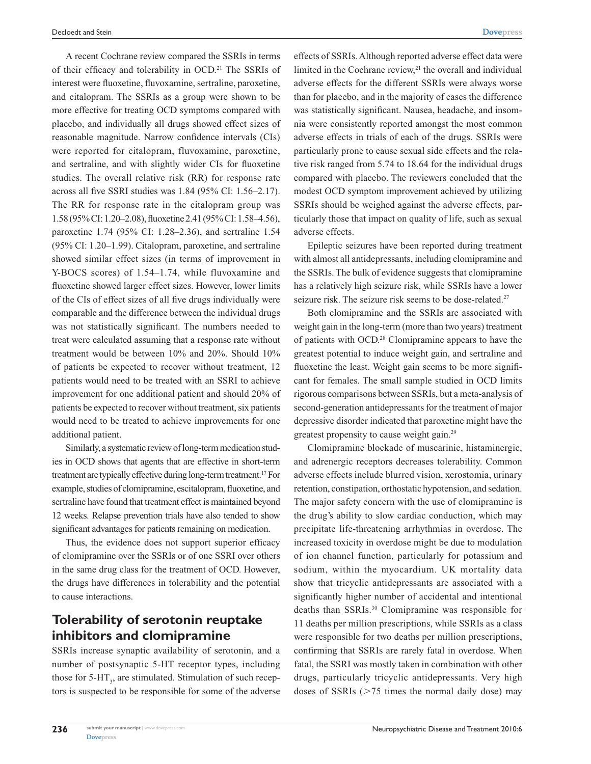A recent Cochrane review compared the SSRIs in terms of their efficacy and tolerability in OCD.<sup>21</sup> The SSRIs of interest were fluoxetine, fluvoxamine, sertraline, paroxetine, and citalopram. The SSRIs as a group were shown to be more effective for treating OCD symptoms compared with placebo, and individually all drugs showed effect sizes of reasonable magnitude. Narrow confidence intervals (CIs) were reported for citalopram, fluvoxamine, paroxetine, and sertraline, and with slightly wider CIs for fluoxetine studies. The overall relative risk (RR) for response rate across all five SSRI studies was 1.84 (95% CI: 1.56–2.17). The RR for response rate in the citalopram group was 1.58 (95% CI: 1.20–2.08), fluoxetine 2.41 (95% CI: 1.58–4.56), paroxetine 1.74 (95% CI: 1.28–2.36), and sertraline 1.54 (95% CI: 1.20–1.99). Citalopram, paroxetine, and sertraline showed similar effect sizes (in terms of improvement in Y-BOCS scores) of 1.54–1.74, while fluvoxamine and fluoxetine showed larger effect sizes. However, lower limits of the CIs of effect sizes of all five drugs individually were comparable and the difference between the individual drugs was not statistically significant. The numbers needed to treat were calculated assuming that a response rate without treatment would be between 10% and 20%. Should 10% of patients be expected to recover without treatment, 12 patients would need to be treated with an SSRI to achieve improvement for one additional patient and should 20% of patients be expected to recover without treatment, six patients would need to be treated to achieve improvements for one additional patient.

Similarly, a systematic review of long-term medication studies in OCD shows that agents that are effective in short-term treatment are typically effective during long-term treatment.<sup>17</sup> For example, studies of clomipramine, escitalopram, fluoxetine, and sertraline have found that treatment effect is maintained beyond 12 weeks. Relapse prevention trials have also tended to show significant advantages for patients remaining on medication.

Thus, the evidence does not support superior efficacy of clomipramine over the SSRIs or of one SSRI over others in the same drug class for the treatment of OCD. However, the drugs have differences in tolerability and the potential to cause interactions.

### **Tolerability of serotonin reuptake inhibitors and clomipramine**

SSRIs increase synaptic availability of serotonin, and a number of postsynaptic 5-HT receptor types, including those for  $5-HT_3$ , are stimulated. Stimulation of such receptors is suspected to be responsible for some of the adverse effects of SSRIs. Although reported adverse effect data were limited in the Cochrane review, $21$  the overall and individual adverse effects for the different SSRIs were always worse than for placebo, and in the majority of cases the difference was statistically significant. Nausea, headache, and insomnia were consistently reported amongst the most common adverse effects in trials of each of the drugs. SSRIs were particularly prone to cause sexual side effects and the relative risk ranged from 5.74 to 18.64 for the individual drugs compared with placebo. The reviewers concluded that the modest OCD symptom improvement achieved by utilizing SSRIs should be weighed against the adverse effects, particularly those that impact on quality of life, such as sexual adverse effects.

Epileptic seizures have been reported during treatment with almost all antidepressants, including clomipramine and the SSRIs. The bulk of evidence suggests that clomipramine has a relatively high seizure risk, while SSRIs have a lower seizure risk. The seizure risk seems to be dose-related.<sup>27</sup>

Both clomipramine and the SSRIs are associated with weight gain in the long-term (more than two years) treatment of patients with OCD.28 Clomipramine appears to have the greatest potential to induce weight gain, and sertraline and fluoxetine the least. Weight gain seems to be more significant for females. The small sample studied in OCD limits rigorous comparisons between SSRIs, but a meta-analysis of second-generation antidepressants for the treatment of major depressive disorder indicated that paroxetine might have the greatest propensity to cause weight gain.29

Clomipramine blockade of muscarinic, histaminergic, and adrenergic receptors decreases tolerability. Common adverse effects include blurred vision, xerostomia, urinary retention, constipation, orthostatic hypotension, and sedation. The major safety concern with the use of clomipramine is the drug's ability to slow cardiac conduction, which may precipitate life-threatening arrhythmias in overdose. The increased toxicity in overdose might be due to modulation of ion channel function, particularly for potassium and sodium, within the myocardium. UK mortality data show that tricyclic antidepressants are associated with a significantly higher number of accidental and intentional deaths than SSRIs.30 Clomipramine was responsible for 11 deaths per million prescriptions, while SSRIs as a class were responsible for two deaths per million prescriptions, confirming that SSRIs are rarely fatal in overdose. When fatal, the SSRI was mostly taken in combination with other drugs, particularly tricyclic antidepressants. Very high doses of SSRIs  $(>= 75$  times the normal daily dose) may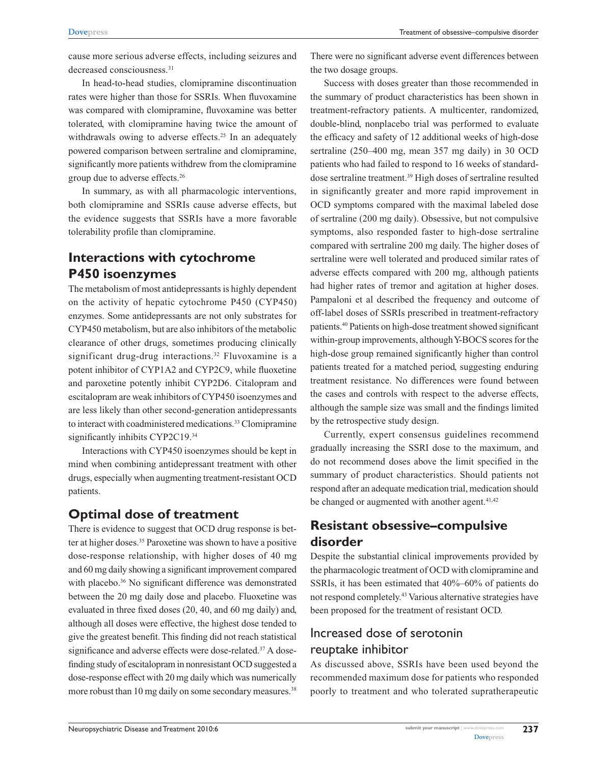cause more serious adverse effects, including seizures and decreased consciousness.<sup>31</sup>

In head-to-head studies, clomipramine discontinuation rates were higher than those for SSRIs. When fluvoxamine was compared with clomipramine, fluvoxamine was better tolerated, with clomipramine having twice the amount of withdrawals owing to adverse effects.<sup>25</sup> In an adequately powered comparison between sertraline and clomipramine, significantly more patients withdrew from the clomipramine group due to adverse effects.26

In summary, as with all pharmacologic interventions, both clomipramine and SSRIs cause adverse effects, but the evidence suggests that SSRIs have a more favorable tolerability profile than clomipramine.

# **Interactions with cytochrome P450 isoenzymes**

The metabolism of most antidepressants is highly dependent on the activity of hepatic cytochrome P450 (CYP450) enzymes. Some antidepressants are not only substrates for CYP450 metabolism, but are also inhibitors of the metabolic clearance of other drugs, sometimes producing clinically significant drug-drug interactions.<sup>32</sup> Fluvoxamine is a potent inhibitor of CYP1A2 and CYP2C9, while fluoxetine and paroxetine potently inhibit CYP2D6. Citalopram and escitalopram are weak inhibitors of CYP450 isoenzymes and are less likely than other second-generation antidepressants to interact with coadministered medications.<sup>33</sup> Clomipramine significantly inhibits CYP2C19.<sup>34</sup>

Interactions with CYP450 isoenzymes should be kept in mind when combining antidepressant treatment with other drugs, especially when augmenting treatment-resistant OCD patients.

### **Optimal dose of treatment**

There is evidence to suggest that OCD drug response is better at higher doses.<sup>35</sup> Paroxetine was shown to have a positive dose-response relationship, with higher doses of 40 mg and 60 mg daily showing a significant improvement compared with placebo.<sup>36</sup> No significant difference was demonstrated between the 20 mg daily dose and placebo. Fluoxetine was evaluated in three fixed doses (20, 40, and 60 mg daily) and, although all doses were effective, the highest dose tended to give the greatest benefit. This finding did not reach statistical significance and adverse effects were dose-related.<sup>37</sup> A dosefinding study of escitalopram in nonresistant OCD suggested a dose-response effect with 20 mg daily which was numerically more robust than 10 mg daily on some secondary measures.<sup>38</sup>

There were no significant adverse event differences between the two dosage groups.

Success with doses greater than those recommended in the summary of product characteristics has been shown in treatment-refractory patients. A multicenter, randomized, double-blind, nonplacebo trial was performed to evaluate the efficacy and safety of 12 additional weeks of high-dose sertraline (250–400 mg, mean 357 mg daily) in 30 OCD patients who had failed to respond to 16 weeks of standarddose sertraline treatment.39 High doses of sertraline resulted in significantly greater and more rapid improvement in OCD symptoms compared with the maximal labeled dose of sertraline (200 mg daily). Obsessive, but not compulsive symptoms, also responded faster to high-dose sertraline compared with sertraline 200 mg daily. The higher doses of sertraline were well tolerated and produced similar rates of adverse effects compared with 200 mg, although patients had higher rates of tremor and agitation at higher doses. Pampaloni et al described the frequency and outcome of off-label doses of SSRIs prescribed in treatment-refractory patients.40 Patients on high-dose treatment showed significant within-group improvements, although Y-BOCS scores for the high-dose group remained significantly higher than control patients treated for a matched period, suggesting enduring treatment resistance. No differences were found between the cases and controls with respect to the adverse effects, although the sample size was small and the findings limited by the retrospective study design.

Currently, expert consensus guidelines recommend gradually increasing the SSRI dose to the maximum, and do not recommend doses above the limit specified in the summary of product characteristics. Should patients not respond after an adequate medication trial, medication should be changed or augmented with another agent. $41,42$ 

# **Resistant obsessive–compulsive disorder**

Despite the substantial clinical improvements provided by the pharmacologic treatment of OCD with clomipramine and SSRIs, it has been estimated that 40%–60% of patients do not respond completely.43 Various alternative strategies have been proposed for the treatment of resistant OCD.

# Increased dose of serotonin reuptake inhibitor

As discussed above, SSRIs have been used beyond the recommended maximum dose for patients who responded poorly to treatment and who tolerated supratherapeutic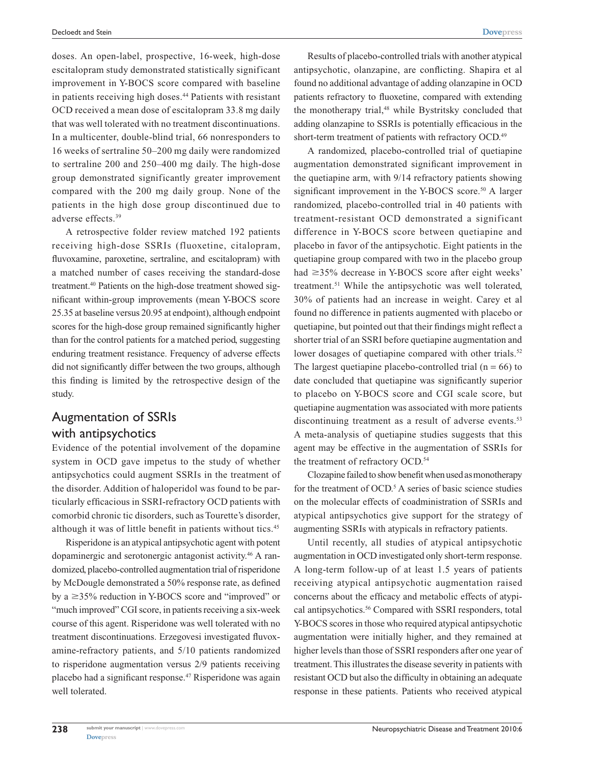doses. An open-label, prospective, 16-week, high-dose escitalopram study demonstrated statistically significant improvement in Y-BOCS score compared with baseline in patients receiving high doses.<sup>44</sup> Patients with resistant OCD received a mean dose of escitalopram 33.8 mg daily that was well tolerated with no treatment discontinuations. In a multicenter, double-blind trial, 66 nonresponders to 16 weeks of sertraline 50–200 mg daily were randomized to sertraline 200 and 250–400 mg daily. The high-dose group demonstrated significantly greater improvement compared with the 200 mg daily group. None of the patients in the high dose group discontinued due to adverse effects.39

A retrospective folder review matched 192 patients receiving high-dose SSRIs (fluoxetine, citalopram, fluvoxamine, paroxetine, sertraline, and escitalopram) with a matched number of cases receiving the standard-dose treatment.<sup>40</sup> Patients on the high-dose treatment showed significant within-group improvements (mean Y-BOCS score 25.35 at baseline versus 20.95 at endpoint), although endpoint scores for the high-dose group remained significantly higher than for the control patients for a matched period, suggesting enduring treatment resistance. Frequency of adverse effects did not significantly differ between the two groups, although this finding is limited by the retrospective design of the study.

#### Augmentation of SSRIs with antipsychotics

Evidence of the potential involvement of the dopamine system in OCD gave impetus to the study of whether antipsychotics could augment SSRIs in the treatment of the disorder. Addition of haloperidol was found to be particularly efficacious in SSRI-refractory OCD patients with comorbid chronic tic disorders, such as Tourette's disorder, although it was of little benefit in patients without tics.<sup>45</sup>

Risperidone is an atypical antipsychotic agent with potent dopaminergic and serotonergic antagonist activity.46 A randomized, placebo-controlled augmentation trial of risperidone by McDougle demonstrated a 50% response rate, as defined by a  $\geq$ 35% reduction in Y-BOCS score and "improved" or "much improved" CGI score, in patients receiving a six-week course of this agent. Risperidone was well tolerated with no treatment discontinuations. Erzegovesi investigated fluvoxamine-refractory patients, and 5/10 patients randomized to risperidone augmentation versus 2/9 patients receiving placebo had a significant response.47 Risperidone was again well tolerated.

Results of placebo-controlled trials with another atypical antipsychotic, olanzapine, are conflicting. Shapira et al found no additional advantage of adding olanzapine in OCD patients refractory to fluoxetine, compared with extending the monotherapy trial,<sup>48</sup> while Bystritsky concluded that adding olanzapine to SSRIs is potentially efficacious in the short-term treatment of patients with refractory OCD.<sup>49</sup>

A randomized, placebo-controlled trial of quetiapine augmentation demonstrated significant improvement in the quetiapine arm, with 9/14 refractory patients showing significant improvement in the Y-BOCS score.<sup>50</sup> A larger randomized, placebo-controlled trial in 40 patients with treatment-resistant OCD demonstrated a significant difference in Y-BOCS score between quetiapine and placebo in favor of the antipsychotic. Eight patients in the quetiapine group compared with two in the placebo group had  $\geq$ 35% decrease in Y-BOCS score after eight weeks' treatment.<sup>51</sup> While the antipsychotic was well tolerated, 30% of patients had an increase in weight. Carey et al found no difference in patients augmented with placebo or quetiapine, but pointed out that their findings might reflect a shorter trial of an SSRI before quetiapine augmentation and lower dosages of quetiapine compared with other trials.<sup>52</sup> The largest quetiapine placebo-controlled trial  $(n = 66)$  to date concluded that quetiapine was significantly superior to placebo on Y-BOCS score and CGI scale score, but quetiapine augmentation was associated with more patients discontinuing treatment as a result of adverse events.<sup>53</sup> A meta-analysis of quetiapine studies suggests that this agent may be effective in the augmentation of SSRIs for the treatment of refractory OCD.<sup>54</sup>

Clozapine failed to show benefit when used as monotherapy for the treatment of OCD.<sup>5</sup> A series of basic science studies on the molecular effects of coadministration of SSRIs and atypical antipsychotics give support for the strategy of augmenting SSRIs with atypicals in refractory patients.

Until recently, all studies of atypical antipsychotic augmentation in OCD investigated only short-term response. A long-term follow-up of at least 1.5 years of patients receiving atypical antipsychotic augmentation raised concerns about the efficacy and metabolic effects of atypical antipsychotics.<sup>56</sup> Compared with SSRI responders, total Y-BOCS scores in those who required atypical antipsychotic augmentation were initially higher, and they remained at higher levels than those of SSRI responders after one year of treatment. This illustrates the disease severity in patients with resistant OCD but also the difficulty in obtaining an adequate response in these patients. Patients who received atypical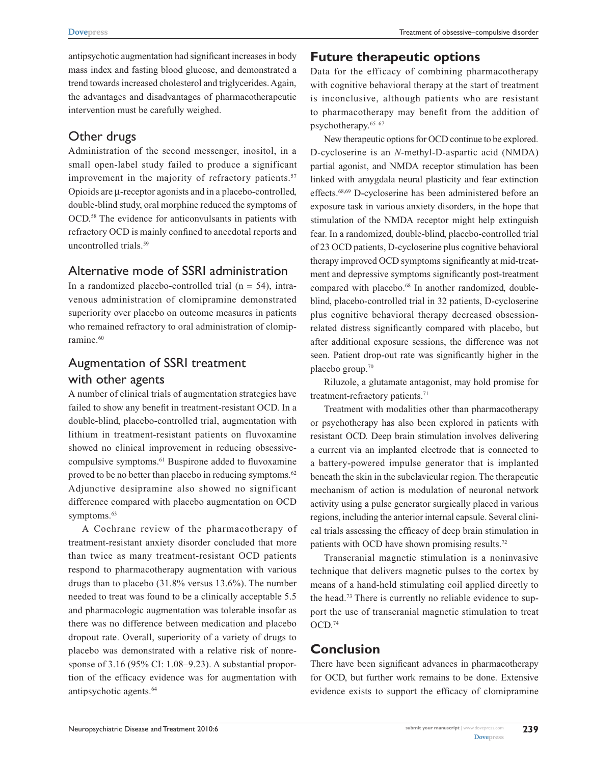antipsychotic augmentation had significant increases in body mass index and fasting blood glucose, and demonstrated a trend towards increased cholesterol and triglycerides. Again, the advantages and disadvantages of pharmacotherapeutic intervention must be carefully weighed.

# Other drugs

Administration of the second messenger, inositol, in a small open-label study failed to produce a significant improvement in the majority of refractory patients.<sup>57</sup> Opioids are µ-receptor agonists and in a placebo-controlled, double-blind study, oral morphine reduced the symptoms of OCD.58 The evidence for anticonvulsants in patients with refractory OCD is mainly confined to anecdotal reports and uncontrolled trials.59

### Alternative mode of SSRI administration

In a randomized placebo-controlled trial  $(n = 54)$ , intravenous administration of clomipramine demonstrated superiority over placebo on outcome measures in patients who remained refractory to oral administration of clomipramine.<sup>60</sup>

# Augmentation of SSRI treatment with other agents

A number of clinical trials of augmentation strategies have failed to show any benefit in treatment-resistant OCD. In a double-blind, placebo-controlled trial, augmentation with lithium in treatment-resistant patients on fluvoxamine showed no clinical improvement in reducing obsessivecompulsive symptoms.61 Buspirone added to fluvoxamine proved to be no better than placebo in reducing symptoms.<sup>62</sup> Adjunctive desipramine also showed no significant difference compared with placebo augmentation on OCD symptoms.<sup>63</sup>

A Cochrane review of the pharmacotherapy of treatment-resistant anxiety disorder concluded that more than twice as many treatment-resistant OCD patients respond to pharmacotherapy augmentation with various drugs than to placebo (31.8% versus 13.6%). The number needed to treat was found to be a clinically acceptable 5.5 and pharmacologic augmentation was tolerable insofar as there was no difference between medication and placebo dropout rate. Overall, superiority of a variety of drugs to placebo was demonstrated with a relative risk of nonresponse of 3.16 (95% CI: 1.08–9.23). A substantial proportion of the efficacy evidence was for augmentation with antipsychotic agents.64

### **Future therapeutic options**

Data for the efficacy of combining pharmacotherapy with cognitive behavioral therapy at the start of treatment is inconclusive, although patients who are resistant to pharmacotherapy may benefit from the addition of psychotherapy.65–67

New therapeutic options for OCD continue to be explored. D-cycloserine is an *N*-methyl-D-aspartic acid (NMDA) partial agonist, and NMDA receptor stimulation has been linked with amygdala neural plasticity and fear extinction effects.68,69 D-cycloserine has been administered before an exposure task in various anxiety disorders, in the hope that stimulation of the NMDA receptor might help extinguish fear. In a randomized, double-blind, placebo-controlled trial of 23 OCD patients, D-cycloserine plus cognitive behavioral therapy improved OCD symptoms significantly at mid-treatment and depressive symptoms significantly post-treatment compared with placebo.<sup>68</sup> In another randomized, doubleblind, placebo-controlled trial in 32 patients, D-cycloserine plus cognitive behavioral therapy decreased obsessionrelated distress significantly compared with placebo, but after additional exposure sessions, the difference was not seen. Patient drop-out rate was significantly higher in the placebo group.70

Riluzole, a glutamate antagonist, may hold promise for treatment-refractory patients.<sup>71</sup>

Treatment with modalities other than pharmacotherapy or psychotherapy has also been explored in patients with resistant OCD. Deep brain stimulation involves delivering a current via an implanted electrode that is connected to a battery-powered impulse generator that is implanted beneath the skin in the subclavicular region. The therapeutic mechanism of action is modulation of neuronal network activity using a pulse generator surgically placed in various regions, including the anterior internal capsule. Several clinical trials assessing the efficacy of deep brain stimulation in patients with OCD have shown promising results.72

Transcranial magnetic stimulation is a noninvasive technique that delivers magnetic pulses to the cortex by means of a hand-held stimulating coil applied directly to the head.73 There is currently no reliable evidence to support the use of transcranial magnetic stimulation to treat OCD.74

# **Conclusion**

There have been significant advances in pharmacotherapy for OCD, but further work remains to be done. Extensive evidence exists to support the efficacy of clomipramine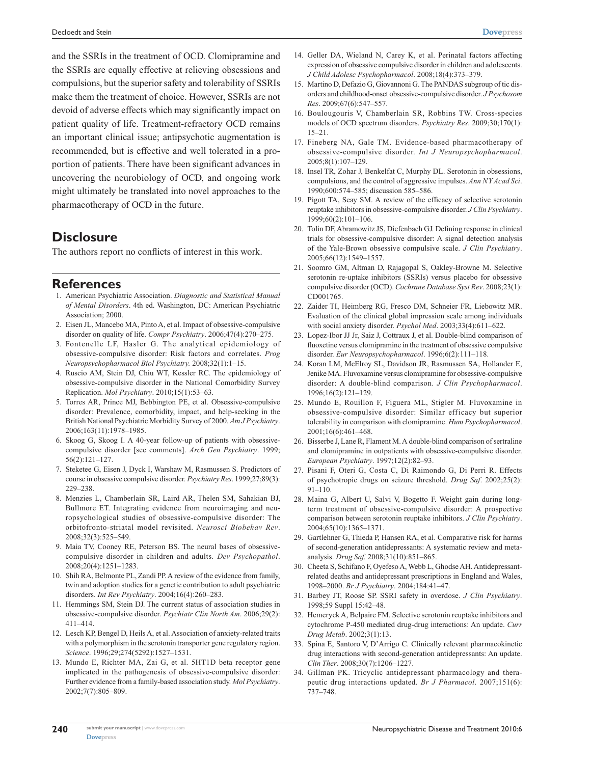and the SSRIs in the treatment of OCD. Clomipramine and the SSRIs are equally effective at relieving obsessions and compulsions, but the superior safety and tolerability of SSRIs make them the treatment of choice. However, SSRIs are not devoid of adverse effects which may significantly impact on patient quality of life. Treatment-refractory OCD remains an important clinical issue; antipsychotic augmentation is recommended, but is effective and well tolerated in a proportion of patients. There have been significant advances in uncovering the neurobiology of OCD, and ongoing work might ultimately be translated into novel approaches to the pharmacotherapy of OCD in the future.

#### **Disclosure**

The authors report no conflicts of interest in this work.

#### **References**

- 1. American Psychiatric Association. *Diagnostic and Statistical Manual of Mental Disorders*. 4th ed. Washington, DC: American Psychiatric Association; 2000.
- 2. Eisen JL, Mancebo MA, Pinto A, et al. Impact of obsessive-compulsive disorder on quality of life. *Compr Psychiatry*. 2006;47(4):270–275.
- 3. Fontenelle LF, Hasler G. The analytical epidemiology of obsessive-compulsive disorder: Risk factors and correlates. *Prog Neuropsychopharmacol Biol Psychiatry.* 2008;32(1):1–15.
- 4. Ruscio AM, Stein DJ, Chiu WT, Kessler RC. The epidemiology of obsessive-compulsive disorder in the National Comorbidity Survey Replication. *Mol Psychiatry*. 2010;15(1):53–63.
- 5. Torres AR, Prince MJ, Bebbington PE, et al. Obsessive-compulsive disorder: Prevalence, comorbidity, impact, and help-seeking in the British National Psychiatric Morbidity Survey of 2000. *Am J Psychiatry*. 2006;163(11):1978–1985.
- 6. Skoog G, Skoog I. A 40-year follow-up of patients with obsessivecompulsive disorder [see comments]. *Arch Gen Psychiatry*. 1999; 56(2):121–127.
- 7. Steketee G, Eisen J, Dyck I, Warshaw M, Rasmussen S. Predictors of course in obsessive compulsive disorder. *Psychiatry Res*. 1999;27;89(3): 229–238.
- 8. Menzies L, Chamberlain SR, Laird AR, Thelen SM, Sahakian BJ, Bullmore ET. Integrating evidence from neuroimaging and neuropsychological studies of obsessive-compulsive disorder: The orbitofronto-striatal model revisited. *Neurosci Biobehav Rev*. 2008;32(3):525–549.
- 9. Maia TV, Cooney RE, Peterson BS. The neural bases of obsessivecompulsive disorder in children and adults. *Dev Psychopathol*. 2008;20(4):1251–1283.
- 10. Shih RA, Belmonte PL, Zandi PP. A review of the evidence from family, twin and adoption studies for a genetic contribution to adult psychiatric disorders. *Int Rev Psychiatry*. 2004;16(4):260–283.
- 11. Hemmings SM, Stein DJ. The current status of association studies in obsessive-compulsive disorder. *Psychiatr Clin North Am*. 2006;29(2): 411–414.
- 12. Lesch KP, Bengel D, Heils A, et al. Association of anxiety-related traits with a polymorphism in the serotonin transporter gene regulatory region. *Science*. 1996;29;274(5292):1527–1531.
- 13. Mundo E, Richter MA, Zai G, et al. 5HT1D beta receptor gene implicated in the pathogenesis of obsessive-compulsive disorder: Further evidence from a family-based association study. *Mol Psychiatry*. 2002;7(7):805–809.
- 14. Geller DA, Wieland N, Carey K, et al. Perinatal factors affecting expression of obsessive compulsive disorder in children and adolescents. *J Child Adolesc Psychopharmacol*. 2008;18(4):373–379.
- 15. Martino D, Defazio G, Giovannoni G. The PANDAS subgroup of tic disorders and childhood-onset obsessive-compulsive disorder. *J Psychosom Res*. 2009;67(6):547–557.
- 16. Boulougouris V, Chamberlain SR, Robbins TW. Cross-species models of OCD spectrum disorders. *Psychiatry Res*. 2009;30;170(1): 15–21.
- 17. Fineberg NA, Gale TM. Evidence-based pharmacotherapy of obsessive-compulsive disorder. *Int J Neuropsychopharmacol*. 2005;8(1):107–129.
- 18. Insel TR, Zohar J, Benkelfat C, Murphy DL. Serotonin in obsessions, compulsions, and the control of aggressive impulses. *Ann N Y Acad Sci*. 1990;600:574–585; discussion 585–586.
- 19. Pigott TA, Seay SM. A review of the efficacy of selective serotonin reuptake inhibitors in obsessive-compulsive disorder. *J Clin Psychiatry*. 1999;60(2):101–106.
- 20. Tolin DF, Abramowitz JS, Diefenbach GJ. Defining response in clinical trials for obsessive-compulsive disorder: A signal detection analysis of the Yale-Brown obsessive compulsive scale. *J Clin Psychiatry*. 2005;66(12):1549–1557.
- 21. Soomro GM, Altman D, Rajagopal S, Oakley-Browne M. Selective serotonin re-uptake inhibitors (SSRIs) versus placebo for obsessive compulsive disorder (OCD). *Cochrane Database Syst Rev*. 2008;23(1): CD001765.
- 22. Zaider TI, Heimberg RG, Fresco DM, Schneier FR, Liebowitz MR. Evaluation of the clinical global impression scale among individuals with social anxiety disorder. *Psychol Med*. 2003;33(4):611–622.
- 23. Lopez-Ibor JJ Jr, Saiz J, Cottraux J, et al. Double-blind comparison of fluoxetine versus clomipramine in the treatment of obsessive compulsive disorder. *Eur Neuropsychopharmacol*. 1996;6(2):111–118.
- 24. Koran LM, McElroy SL, Davidson JR, Rasmussen SA, Hollander E, Jenike MA. Fluvoxamine versus clomipramine for obsessive-compulsive disorder: A double-blind comparison. *J Clin Psychopharmacol*. 1996;16(2):121–129.
- 25. Mundo E, Rouillon F, Figuera ML, Stigler M. Fluvoxamine in obsessive-compulsive disorder: Similar efficacy but superior tolerability in comparison with clomipramine. *Hum Psychopharmacol*. 2001;16(6):461–468.
- 26. Bisserbe J, Lane R, Flament M. A double-blind comparison of sertraline and clomipramine in outpatients with obsessive-compulsive disorder. *European Psychiatry*. 1997;12(2):82–93.
- 27. Pisani F, Oteri G, Costa C, Di Raimondo G, Di Perri R. Effects of psychotropic drugs on seizure threshold. *Drug Saf*. 2002;25(2): 91–110.
- 28. Maina G, Albert U, Salvi V, Bogetto F. Weight gain during longterm treatment of obsessive-compulsive disorder: A prospective comparison between serotonin reuptake inhibitors. *J Clin Psychiatry*. 2004;65(10):1365–1371.
- 29. Gartlehner G, Thieda P, Hansen RA, et al. Comparative risk for harms of second-generation antidepressants: A systematic review and metaanalysis. *Drug Saf.* 2008;31(10):851–865.
- 30. Cheeta S, Schifano F, Oyefeso A, Webb L, Ghodse AH.Antidepressantrelated deaths and antidepressant prescriptions in England and Wales, 1998–2000. *Br J Psychiatry*. 2004;184:41–47.
- 31. Barbey JT, Roose SP. SSRI safety in overdose. *J Clin Psychiatry*. 1998;59 Suppl 15:42–48.
- 32. Hemeryck A, Belpaire FM. Selective serotonin reuptake inhibitors and cytochrome P-450 mediated drug-drug interactions: An update. *Curr Drug Metab*. 2002;3(1):13.
- 33. Spina E, Santoro V, D'Arrigo C. Clinically relevant pharmacokinetic drug interactions with second-generation antidepressants: An update. *Clin Ther*. 2008;30(7):1206–1227.
- 34. Gillman PK. Tricyclic antidepressant pharmacology and therapeutic drug interactions updated. *Br J Pharmacol*. 2007;151(6): 737–748.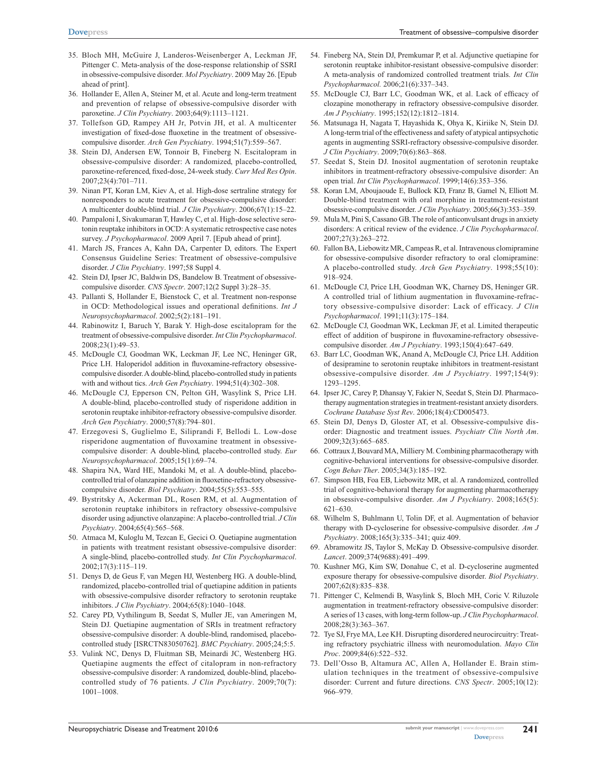- 35. Bloch MH, McGuire J, Landeros-Weisenberger A, Leckman JF, Pittenger C. Meta-analysis of the dose-response relationship of SSRI in obsessive-compulsive disorder. *Mol Psychiatry*. 2009 May 26. [Epub ahead of print].
- 36. Hollander E, Allen A, Steiner M, et al. Acute and long-term treatment and prevention of relapse of obsessive-compulsive disorder with paroxetine. *J Clin Psychiatry*. 2003;64(9):1113–1121.
- 37. Tollefson GD, Rampey AH Jr, Potvin JH, et al. A multicenter investigation of fixed-dose fluoxetine in the treatment of obsessivecompulsive disorder. *Arch Gen Psychiatry*. 1994;51(7):559–567.
- 38. Stein DJ, Andersen EW, Tonnoir B, Fineberg N. Escitalopram in obsessive-compulsive disorder: A randomized, placebo-controlled, paroxetine-referenced, fixed-dose, 24-week study. *Curr Med Res Opin*. 2007;23(4):701–711.
- 39. Ninan PT, Koran LM, Kiev A, et al. High-dose sertraline strategy for nonresponders to acute treatment for obsessive-compulsive disorder: A multicenter double-blind trial. *J Clin Psychiatry*. 2006;67(1):15–22.
- 40. Pampaloni I, Sivakumaran T, Hawley C, et al. High-dose selective serotonin reuptake inhibitors in OCD: A systematic retrospective case notes survey. *J Psychopharmacol*. 2009 April 7. [Epub ahead of print].
- 41. March JS, Frances A, Kahn DA, Carpenter D, editors. The Expert Consensus Guideline Series: Treatment of obsessive-compulsive disorder. *J Clin Psychiatry*. 1997;58 Suppl 4.
- 42. Stein DJ, Ipser JC, Baldwin DS, Bandelow B. Treatment of obsessivecompulsive disorder. *CNS Spectr*. 2007;12(2 Suppl 3):28–35.
- 43. Pallanti S, Hollander E, Bienstock C, et al. Treatment non-response in OCD: Methodological issues and operational definitions. *Int J Neuropsychopharmacol*. 2002;5(2):181–191.
- 44. Rabinowitz I, Baruch Y, Barak Y. High-dose escitalopram for the treatment of obsessive-compulsive disorder. *Int Clin Psychopharmacol*. 2008;23(1):49–53.
- 45. McDougle CJ, Goodman WK, Leckman JF, Lee NC, Heninger GR, Price LH. Haloperidol addition in fluvoxamine-refractory obsessivecompulsive disorder. A double-blind, placebo-controlled study in patients with and without tics. *Arch Gen Psychiatry*. 1994;51(4):302–308.
- 46. McDougle CJ, Epperson CN, Pelton GH, Wasylink S, Price LH. A double-blind, placebo-controlled study of risperidone addition in serotonin reuptake inhibitor-refractory obsessive-compulsive disorder. *Arch Gen Psychiatry*. 2000;57(8):794–801.
- 47. Erzegovesi S, Guglielmo E, Siliprandi F, Bellodi L. Low-dose risperidone augmentation of fluvoxamine treatment in obsessivecompulsive disorder: A double-blind, placebo-controlled study. *Eur Neuropsychopharmacol*. 2005;15(1):69–74.
- 48. Shapira NA, Ward HE, Mandoki M, et al. A double-blind, placebocontrolled trial of olanzapine addition in fluoxetine-refractory obsessivecompulsive disorder. *Biol Psychiatry*. 2004;55(5):553–555.
- 49. Bystritsky A, Ackerman DL, Rosen RM, et al. Augmentation of serotonin reuptake inhibitors in refractory obsessive-compulsive disorder using adjunctive olanzapine: A placebo-controlled trial. *J Clin Psychiatry*. 2004;65(4):565–568.
- 50. Atmaca M, Kuloglu M, Tezcan E, Gecici O. Quetiapine augmentation in patients with treatment resistant obsessive-compulsive disorder: A single-blind, placebo-controlled study. *Int Clin Psychopharmacol*. 2002;17(3):115–119.
- 51. Denys D, de Geus F, van Megen HJ, Westenberg HG. A double-blind, randomized, placebo-controlled trial of quetiapine addition in patients with obsessive-compulsive disorder refractory to serotonin reuptake inhibitors. *J Clin Psychiatry*. 2004;65(8):1040–1048.
- 52. Carey PD, Vythilingum B, Seedat S, Muller JE, van Ameringen M, Stein DJ. Quetiapine augmentation of SRIs in treatment refractory obsessive-compulsive disorder: A double-blind, randomised, placebocontrolled study [ISRCTN83050762]. *BMC Psychiatry*. 2005;24;5:5.
- 53. Vulink NC, Denys D, Fluitman SB, Meinardi JC, Westenberg HG. Quetiapine augments the effect of citalopram in non-refractory obsessive-compulsive disorder: A randomized, double-blind, placebocontrolled study of 76 patients. *J Clin Psychiatry*. 2009;70(7): 1001–1008.
- 54. Fineberg NA, Stein DJ, Premkumar P, et al. Adjunctive quetiapine for serotonin reuptake inhibitor-resistant obsessive-compulsive disorder: A meta-analysis of randomized controlled treatment trials. *Int Clin Psychopharmacol.* 2006;21(6):337–343.
- 55. McDougle CJ, Barr LC, Goodman WK, et al. Lack of efficacy of clozapine monotherapy in refractory obsessive-compulsive disorder. *Am J Psychiatry*. 1995;152(12):1812–1814.
- 56. Matsunaga H, Nagata T, Hayashida K, Ohya K, Kiriike N, Stein DJ. A long-term trial of the effectiveness and safety of atypical antipsychotic agents in augmenting SSRI-refractory obsessive-compulsive disorder. *J Clin Psychiatry*. 2009;70(6):863–868.
- 57. Seedat S, Stein DJ. Inositol augmentation of serotonin reuptake inhibitors in treatment-refractory obsessive-compulsive disorder: An open trial. *Int Clin Psychopharmacol*. 1999;14(6):353–356.
- 58. Koran LM, Aboujaoude E, Bullock KD, Franz B, Gamel N, Elliott M. Double-blind treatment with oral morphine in treatment-resistant obsessive-compulsive disorder. *J Clin Psychiatry*. 2005;66(3):353–359.
- 59. Mula M, Pini S, Cassano GB. The role of anticonvulsant drugs in anxiety disorders: A critical review of the evidence. *J Clin Psychopharmacol*. 2007;27(3):263–272.
- 60. Fallon BA, Liebowitz MR, Campeas R, et al. Intravenous clomipramine for obsessive-compulsive disorder refractory to oral clomipramine: A placebo-controlled study. *Arch Gen Psychiatry*. 1998;55(10): 918–924.
- 61. McDougle CJ, Price LH, Goodman WK, Charney DS, Heninger GR. A controlled trial of lithium augmentation in fluvoxamine-refractory obsessive-compulsive disorder: Lack of efficacy. *J Clin Psychopharmacol*. 1991;11(3):175–184.
- 62. McDougle CJ, Goodman WK, Leckman JF, et al. Limited therapeutic effect of addition of buspirone in fluvoxamine-refractory obsessivecompulsive disorder. *Am J Psychiatry*. 1993;150(4):647–649.
- 63. Barr LC, Goodman WK, Anand A, McDougle CJ, Price LH. Addition of desipramine to serotonin reuptake inhibitors in treatment-resistant obsessive-compulsive disorder. *Am J Psychiatry*. 1997;154(9): 1293–1295.
- 64. Ipser JC, Carey P, Dhansay Y, Fakier N, Seedat S, Stein DJ. Pharmacotherapy augmentation strategies in treatment-resistant anxiety disorders. *Cochrane Database Syst Rev*. 2006;18(4):CD005473.
- 65. Stein DJ, Denys D, Gloster AT, et al. Obsessive-compulsive disorder: Diagnostic and treatment issues. *Psychiatr Clin North Am*. 2009;32(3):665–685.
- 66. Cottraux J, Bouvard MA, Milliery M. Combining pharmacotherapy with cognitive-behavioral interventions for obsessive-compulsive disorder. *Cogn Behav Ther*. 2005;34(3):185–192.
- 67. Simpson HB, Foa EB, Liebowitz MR, et al. A randomized, controlled trial of cognitive-behavioral therapy for augmenting pharmacotherapy in obsessive-compulsive disorder. *Am J Psychiatry*. 2008;165(5): 621–630.
- 68. Wilhelm S, Buhlmann U, Tolin DF, et al. Augmentation of behavior therapy with D-cycloserine for obsessive-compulsive disorder. *Am J Psychiatry*. 2008;165(3):335–341; quiz 409.
- 69. Abramowitz JS, Taylor S, McKay D. Obsessive-compulsive disorder. *Lancet*. 2009;374(9688):491–499.
- 70. Kushner MG, Kim SW, Donahue C, et al. D-cycloserine augmented exposure therapy for obsessive-compulsive disorder. *Biol Psychiatry*. 2007;62(8):835–838.
- 71. Pittenger C, Kelmendi B, Wasylink S, Bloch MH, Coric V. Riluzole augmentation in treatment-refractory obsessive-compulsive disorder: A series of 13 cases, with long-term follow-up. *J Clin Psychopharmacol*. 2008;28(3):363–367.
- 72. Tye SJ, Frye MA, Lee KH. Disrupting disordered neurocircuitry: Treating refractory psychiatric illness with neuromodulation. *Mayo Clin Proc*. 2009;84(6):522–532.
- 73. Dell'Osso B, Altamura AC, Allen A, Hollander E. Brain stimulation techniques in the treatment of obsessive-compulsive disorder: Current and future directions. *CNS Spectr*. 2005;10(12): 966–979.